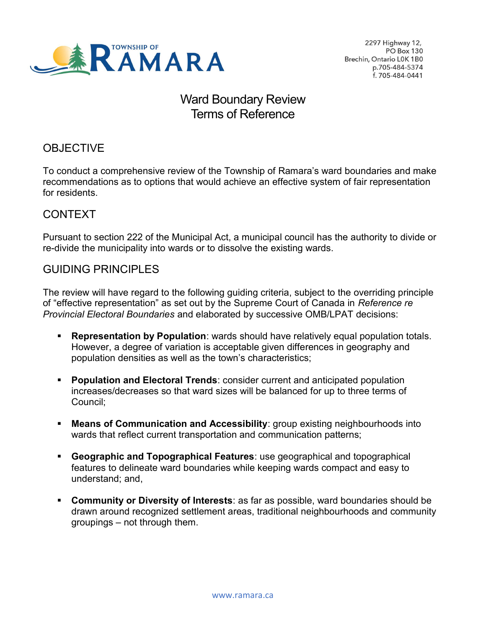

2297 Highway 12, PO Box 130 Brechin, Ontario L0K 1B0 p.705-484-5374 f. 705-484-0441

# Ward Boundary Review Terms of Reference

### **OBJECTIVE**

 To conduct a comprehensive review of the Township of Ramara's ward boundaries and make recommendations as to options that would achieve an effective system of fair representation for residents.

#### CONTEXT

 Pursuant to section 222 of the Municipal Act, a municipal council has the authority to divide or re-divide the municipality into wards or to dissolve the existing wards.

#### **GUIDING PRINCIPLES**

GUIDING PRINCIPLES<br>The review will have regard to the following guiding criteria, subject to the overriding principle of "effective representation" as set out by the Supreme Court of Canada in *Reference re* Provincial Electoral Boundaries and elaborated by successive OMB/LPAT decisions:

- **Representation by Population**: wards should have relatively equal population totals. However, a degree of variation is acceptable given differences in geography and population densities as well as the town's characteristics;
- **Population and Electoral Trends: consider current and anticipated population**  increases/decreases so that ward sizes will be balanced for up to three terms of Council;
- **Means of Communication and Accessibility:** group existing neighbourhoods into wards that reflect current transportation and communication patterns;
- **Geographic and Topographical Features: use geographical and topographical**  features to delineate ward boundaries while keeping wards compact and easy to understand; and,
- **Community or Diversity of Interests: as far as possible, ward boundaries should be**  drawn around recognized settlement areas, traditional neighbourhoods and community groupings – not through them.